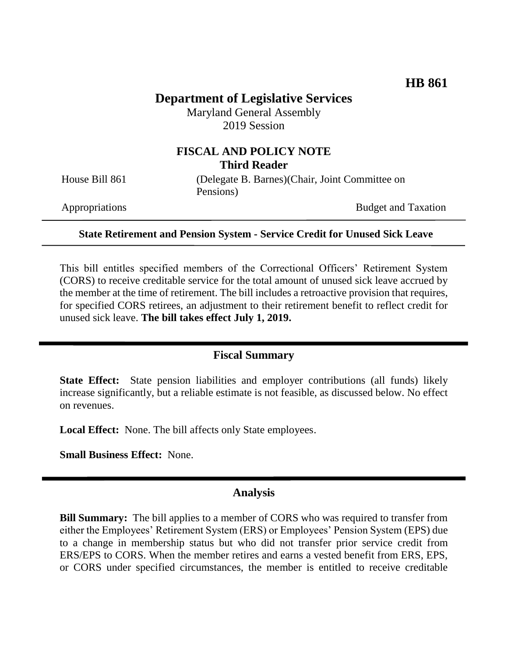# **Department of Legislative Services**

Maryland General Assembly 2019 Session

## **FISCAL AND POLICY NOTE Third Reader**

House Bill 861 (Delegate B. Barnes)(Chair, Joint Committee on Pensions)

Appropriations Budget and Taxation

#### **State Retirement and Pension System - Service Credit for Unused Sick Leave**

This bill entitles specified members of the Correctional Officers' Retirement System (CORS) to receive creditable service for the total amount of unused sick leave accrued by the member at the time of retirement. The bill includes a retroactive provision that requires, for specified CORS retirees, an adjustment to their retirement benefit to reflect credit for unused sick leave. **The bill takes effect July 1, 2019.**

### **Fiscal Summary**

**State Effect:** State pension liabilities and employer contributions (all funds) likely increase significantly, but a reliable estimate is not feasible, as discussed below. No effect on revenues.

**Local Effect:** None. The bill affects only State employees.

**Small Business Effect:** None.

#### **Analysis**

**Bill Summary:** The bill applies to a member of CORS who was required to transfer from either the Employees' Retirement System (ERS) or Employees' Pension System (EPS) due to a change in membership status but who did not transfer prior service credit from ERS/EPS to CORS. When the member retires and earns a vested benefit from ERS, EPS, or CORS under specified circumstances, the member is entitled to receive creditable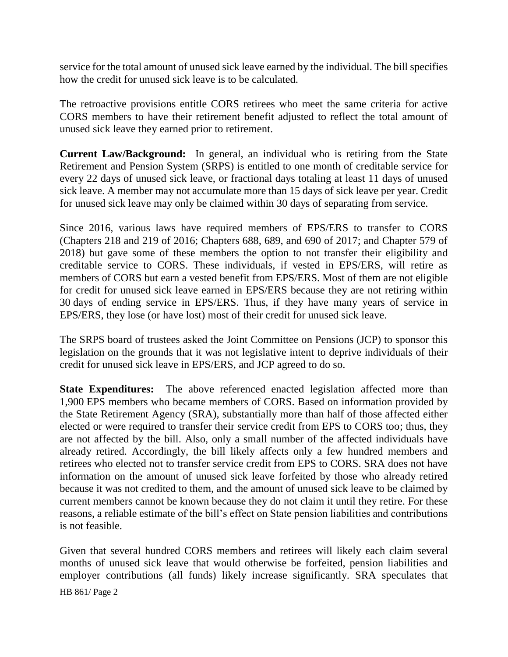service for the total amount of unused sick leave earned by the individual. The bill specifies how the credit for unused sick leave is to be calculated.

The retroactive provisions entitle CORS retirees who meet the same criteria for active CORS members to have their retirement benefit adjusted to reflect the total amount of unused sick leave they earned prior to retirement.

**Current Law/Background:** In general, an individual who is retiring from the State Retirement and Pension System (SRPS) is entitled to one month of creditable service for every 22 days of unused sick leave, or fractional days totaling at least 11 days of unused sick leave. A member may not accumulate more than 15 days of sick leave per year. Credit for unused sick leave may only be claimed within 30 days of separating from service.

Since 2016, various laws have required members of EPS/ERS to transfer to CORS (Chapters 218 and 219 of 2016; Chapters 688, 689, and 690 of 2017; and Chapter 579 of 2018) but gave some of these members the option to not transfer their eligibility and creditable service to CORS. These individuals, if vested in EPS/ERS, will retire as members of CORS but earn a vested benefit from EPS/ERS. Most of them are not eligible for credit for unused sick leave earned in EPS/ERS because they are not retiring within 30 days of ending service in EPS/ERS. Thus, if they have many years of service in EPS/ERS, they lose (or have lost) most of their credit for unused sick leave.

The SRPS board of trustees asked the Joint Committee on Pensions (JCP) to sponsor this legislation on the grounds that it was not legislative intent to deprive individuals of their credit for unused sick leave in EPS/ERS, and JCP agreed to do so.

**State Expenditures:** The above referenced enacted legislation affected more than 1,900 EPS members who became members of CORS. Based on information provided by the State Retirement Agency (SRA), substantially more than half of those affected either elected or were required to transfer their service credit from EPS to CORS too; thus, they are not affected by the bill. Also, only a small number of the affected individuals have already retired. Accordingly, the bill likely affects only a few hundred members and retirees who elected not to transfer service credit from EPS to CORS. SRA does not have information on the amount of unused sick leave forfeited by those who already retired because it was not credited to them, and the amount of unused sick leave to be claimed by current members cannot be known because they do not claim it until they retire. For these reasons, a reliable estimate of the bill's effect on State pension liabilities and contributions is not feasible.

Given that several hundred CORS members and retirees will likely each claim several months of unused sick leave that would otherwise be forfeited, pension liabilities and employer contributions (all funds) likely increase significantly. SRA speculates that

HB 861/ Page 2